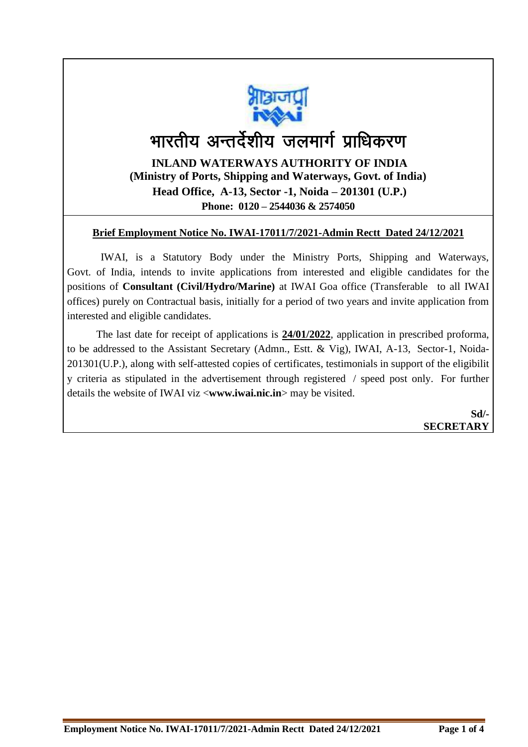

# भारतीय अन्तर्देशीय जलमार्ग प्राधिकरण

**INLAND WATERWAYS AUTHORITY OF INDIA (Ministry of Ports, Shipping and Waterways, Govt. of India) Head Office, A-13, Sector -1, Noida – 201301 (U.P.) Phone: 0120 – 2544036 & 2574050**

#### **Brief Employment Notice No. IWAI-17011/7/2021-Admin Rectt Dated 24/12/2021**

IWAI, is a Statutory Body under the Ministry Ports, Shipping and Waterways, Govt. of India, intends to invite applications from interested and eligible candidates for the positions of **Consultant (Civil/Hydro/Marine)** at IWAI Goa office (Transferable to all IWAI offices) purely on Contractual basis, initially for a period of two years and invite application from interested and eligible candidates.

 The last date for receipt of applications is **24/01/2022**, application in prescribed proforma, to be addressed to the Assistant Secretary (Admn., Estt. & Vig), IWAI, A-13, Sector-1, Noida-201301(U.P.), along with self-attested copies of certificates, testimonials in support of the eligibilit y criteria as stipulated in the advertisement through registered / speed post only. For further details the website of IWAI viz <**www.iwai.nic.in**> may be visited.

> **Sd/- SECRETARY**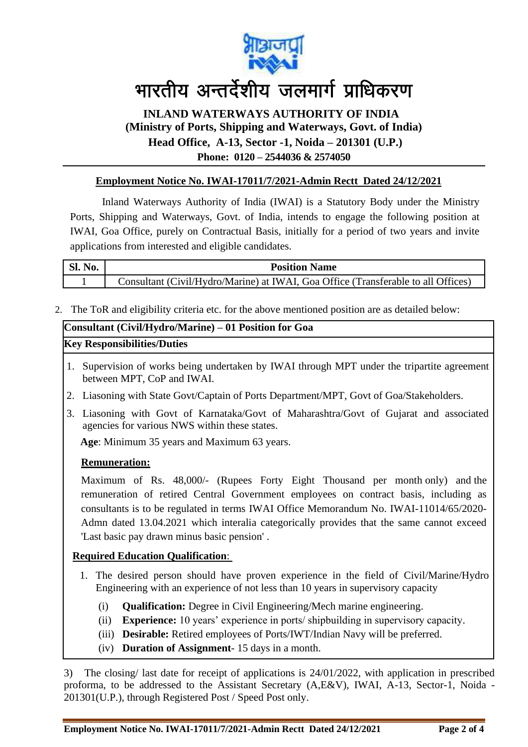

### **INLAND WATERWAYS AUTHORITY OF INDIA (Ministry of Ports, Shipping and Waterways, Govt. of India) Head Office, A-13, Sector -1, Noida – 201301 (U.P.) Phone: 0120 – 2544036 & 2574050**

#### **Employment Notice No. IWAI-17011/7/2021-Admin Rectt Dated 24/12/2021**

Inland Waterways Authority of India (IWAI) is a Statutory Body under the Ministry Ports, Shipping and Waterways, Govt. of India, intends to engage the following position at IWAI, Goa Office, purely on Contractual Basis, initially for a period of two years and invite applications from interested and eligible candidates.

| <b>Sl. No.</b> | <b>Position Name</b>                                                              |
|----------------|-----------------------------------------------------------------------------------|
|                | Consultant (Civil/Hydro/Marine) at IWAI, Goa Office (Transferable to all Offices) |

2. The ToR and eligibility criteria etc. for the above mentioned position are as detailed below:

| Consultant (Civil/Hydro/Marine) – 01 Position for Goa |  |
|-------------------------------------------------------|--|
| <b>Key Responsibilities/Duties</b>                    |  |

- 1. Supervision of works being undertaken by IWAI through MPT under the tripartite agreement between MPT, CoP and IWAI.
- 2. Liasoning with State Govt/Captain of Ports Department/MPT, Govt of Goa/Stakeholders.
- 3. Liasoning with Govt of Karnataka/Govt of Maharashtra/Govt of Gujarat and associated agencies for various NWS within these states.

 **Age**: Minimum 35 years and Maximum 63 years.

#### **Remuneration:**

Maximum of Rs. 48,000/- (Rupees Forty Eight Thousand per month only) and the remuneration of retired Central Government employees on contract basis, including as consultants is to be regulated in terms IWAI Office Memorandum No. IWAI-11014/65/2020- Admn dated 13.04.2021 which interalia categorically provides that the same cannot exceed 'Last basic pay drawn minus basic pension' .

#### **Required Education Qualification**:

- 1. The desired person should have proven experience in the field of Civil/Marine/Hydro Engineering with an experience of not less than 10 years in supervisory capacity
	- (i) **Qualification:** Degree in Civil Engineering/Mech marine engineering.
	- (ii) **Experience:** 10 years' experience in ports/ shipbuilding in supervisory capacity.
	- (iii) **Desirable:** Retired employees of Ports/IWT/Indian Navy will be preferred.
	- (iv) **Duration of Assignment** 15 days in a month.

3) The closing/ last date for receipt of applications is 24/01/2022, with application in prescribed proforma, to be addressed to the Assistant Secretary (A,E&V), IWAI, A-13, Sector-1, Noida - 201301(U.P.), through Registered Post / Speed Post only.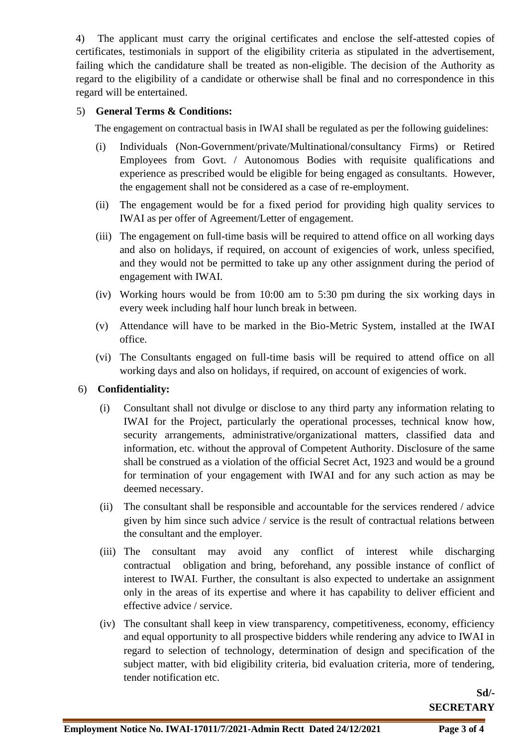4) The applicant must carry the original certificates and enclose the self-attested copies of certificates, testimonials in support of the eligibility criteria as stipulated in the advertisement, failing which the candidature shall be treated as non-eligible. The decision of the Authority as regard to the eligibility of a candidate or otherwise shall be final and no correspondence in this regard will be entertained.

#### 5) **General Terms & Conditions:**

The engagement on contractual basis in IWAI shall be regulated as per the following guidelines:

- (i) Individuals (Non-Government/private/Multinational/consultancy Firms) or Retired Employees from Govt. / Autonomous Bodies with requisite qualifications and experience as prescribed would be eligible for being engaged as consultants. However, the engagement shall not be considered as a case of re-employment.
- (ii) The engagement would be for a fixed period for providing high quality services to IWAI as per offer of Agreement/Letter of engagement.
- (iii) The engagement on full-time basis will be required to attend office on all working days and also on holidays, if required, on account of exigencies of work, unless specified, and they would not be permitted to take up any other assignment during the period of engagement with IWAI.
- (iv) Working hours would be from 10:00 am to 5:30 pm during the six working days in every week including half hour lunch break in between.
- (v) Attendance will have to be marked in the Bio-Metric System, installed at the IWAI office.
- (vi) The Consultants engaged on full-time basis will be required to attend office on all working days and also on holidays, if required, on account of exigencies of work.

#### 6) **Confidentiality:**

- (i) Consultant shall not divulge or disclose to any third party any information relating to IWAI for the Project, particularly the operational processes, technical know how, security arrangements, administrative/organizational matters, classified data and information, etc. without the approval of Competent Authority. Disclosure of the same shall be construed as a violation of the official Secret Act, 1923 and would be a ground for termination of your engagement with IWAI and for any such action as may be deemed necessary.
- (ii) The consultant shall be responsible and accountable for the services rendered / advice given by him since such advice / service is the result of contractual relations between the consultant and the employer.
- (iii) The consultant may avoid any conflict of interest while discharging contractual obligation and bring, beforehand, any possible instance of conflict of interest to IWAI. Further, the consultant is also expected to undertake an assignment only in the areas of its expertise and where it has capability to deliver efficient and effective advice / service.
- (iv) The consultant shall keep in view transparency, competitiveness, economy, efficiency and equal opportunity to all prospective bidders while rendering any advice to IWAI in regard to selection of technology, determination of design and specification of the subject matter, with bid eligibility criteria, bid evaluation criteria, more of tendering, tender notification etc.